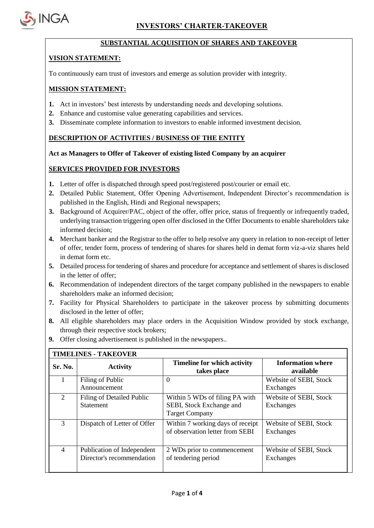

÷

### **SUBSTANTIAL ACQUISITION OF SHARES AND TAKEOVER**

### **VISION STATEMENT:**

To continuously earn trust of investors and emerge as solution provider with integrity.

### **MISSION STATEMENT:**

- **1.** Act in investors' best interests by understanding needs and developing solutions.
- **2.** Enhance and customise value generating capabilities and services.
- **3.** Disseminate complete information to investors to enable informed investment decision.

# **DESCRIPTION OF ACTIVITIES / BUSINESS OF THE ENTITY**

### **Act as Managers to Offer of Takeover of existing listed Company by an acquirer**

# **SERVICES PROVIDED FOR INVESTORS**

- **1.** Letter of offer is dispatched through speed post/registered post/courier or email etc.
- **2.** Detailed Public Statement, Offer Opening Advertisement, Independent Director's recommendation is published in the English, Hindi and Regional newspapers;
- **3.** Background of Acquirer/PAC, object of the offer, offer price, status of frequently or infrequently traded, underlying transaction triggering open offer disclosed in the Offer Documents to enable shareholders take informed decision;
- **4.** Merchant banker and the Registrar to the offer to help resolve any query in relation to non-receipt of letter of offer, tender form, process of tendering of shares for shares held in demat form viz-a-viz shares held in demat form etc.
- **5.** Detailed process for tendering of shares and procedure for acceptance and settlement of shares is disclosed in the letter of offer;
- **6.** Recommendation of independent directors of the target company published in the newspapers to enable shareholders make an informed decision;
- **7.** Facility for Physical Shareholders to participate in the takeover process by submitting documents disclosed in the letter of offer;
- **8.** All eligible shareholders may place orders in the Acquisition Window provided by stock exchange, through their respective stock brokers;
- **9.** Offer closing advertisement is published in the newspapers..

| <b>Sr. No.</b>              | <b>Activity</b>                                         | <b>Timeline for which activity</b><br>takes place                                   | <b>Information where</b><br>available |
|-----------------------------|---------------------------------------------------------|-------------------------------------------------------------------------------------|---------------------------------------|
|                             | Filing of Public<br>Announcement                        | $\theta$                                                                            | Website of SEBI, Stock<br>Exchanges   |
| $\mathcal{D}_{\mathcal{L}}$ | Filing of Detailed Public<br><b>Statement</b>           | Within 5 WDs of filing PA with<br>SEBI, Stock Exchange and<br><b>Target Company</b> | Website of SEBI, Stock<br>Exchanges   |
| $\mathcal{R}$               | Dispatch of Letter of Offer                             | Within 7 working days of receipt<br>of observation letter from SEBI                 | Website of SEBI, Stock<br>Exchanges   |
| 4                           | Publication of Independent<br>Director's recommendation | 2 WDs prior to commencement<br>of tendering period                                  | Website of SEBI, Stock<br>Exchanges   |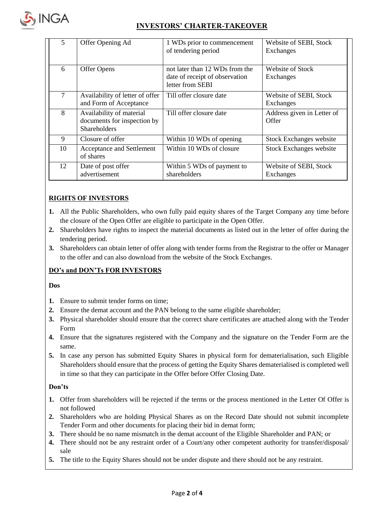

# **INVESTORS' CHARTER-TAKEOVER**

| 5  | Offer Opening Ad                                                        | 1 WDs prior to commencement<br>of tendering period                                   | Website of SEBI, Stock<br>Exchanges |
|----|-------------------------------------------------------------------------|--------------------------------------------------------------------------------------|-------------------------------------|
| 6  | Offer Opens                                                             | not later than 12 WDs from the<br>date of receipt of observation<br>letter from SEBI | Website of Stock<br>Exchanges       |
| 7  | Availability of letter of offer<br>and Form of Acceptance               | Till offer closure date                                                              | Website of SEBI, Stock<br>Exchanges |
| 8  | Availability of material<br>documents for inspection by<br>Shareholders | Till offer closure date                                                              | Address given in Letter of<br>Offer |
| 9  | Closure of offer                                                        | Within 10 WDs of opening                                                             | <b>Stock Exchanges website</b>      |
| 10 | Acceptance and Settlement<br>of shares                                  | Within 10 WDs of closure                                                             | <b>Stock Exchanges website</b>      |
| 12 | Date of post offer<br>advertisement                                     | Within 5 WDs of payment to<br>shareholders                                           | Website of SEBI, Stock<br>Exchanges |

# **RIGHTS OF INVESTORS**

- **1.** All the Public Shareholders, who own fully paid equity shares of the Target Company any time before the closure of the Open Offer are eligible to participate in the Open Offer.
- **2.** Shareholders have rights to inspect the material documents as listed out in the letter of offer during the tendering period.
- **3.** Shareholders can obtain letter of offer along with tender forms from the Registrar to the offer or Manager to the offer and can also download from the website of the Stock Exchanges.

# **DO's and DON'Ts FOR INVESTORS**

#### **Dos**

- **1.** Ensure to submit tender forms on time;
- **2.** Ensure the demat account and the PAN belong to the same eligible shareholder;
- **3.** Physical shareholder should ensure that the correct share certificates are attached along with the Tender Form
- **4.** Ensure that the signatures registered with the Company and the signature on the Tender Form are the same.
- **5.** In case any person has submitted Equity Shares in physical form for dematerialisation, such Eligible Shareholders should ensure that the process of getting the Equity Shares dematerialised is completed well in time so that they can participate in the Offer before Offer Closing Date.

### **Don'ts**

- **1.** Offer from shareholders will be rejected if the terms or the process mentioned in the Letter Of Offer is not followed
- **2.** Shareholders who are holding Physical Shares as on the Record Date should not submit incomplete Tender Form and other documents for placing their bid in demat form;
- **3.** There should be no name mismatch in the demat account of the Eligible Shareholder and PAN; or
- **4.** There should not be any restraint order of a Court/any other competent authority for transfer/disposal/ sale
- **5.** The title to the Equity Shares should not be under dispute and there should not be any restraint.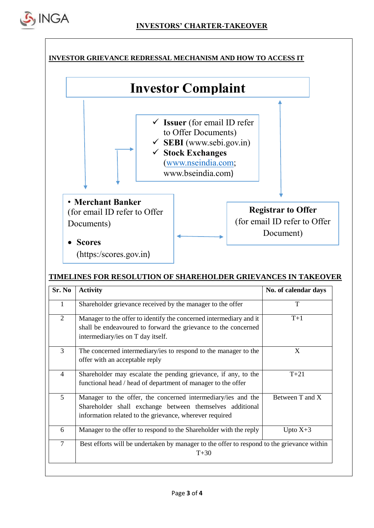